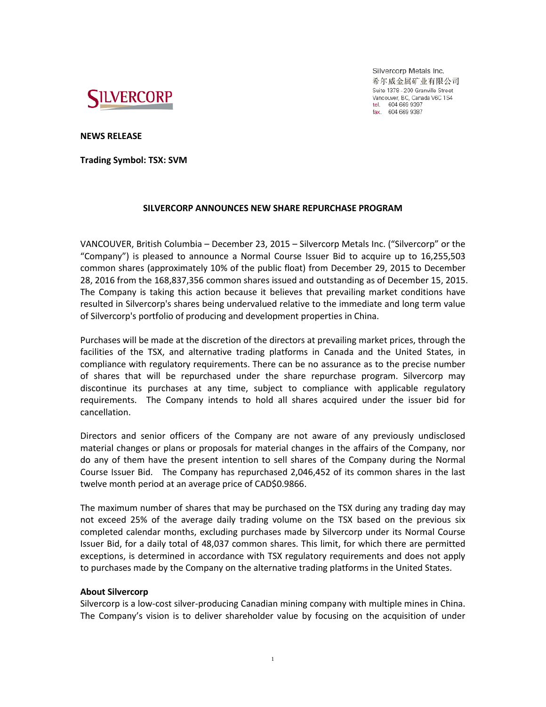

Silvercorp Metals Inc. 希尔威金属矿业有限公司 Suite 1378 - 200 Granville Street Vancouver, BC, Canada V6C 1S4 tel. 604 669 9397<br>fax. 604 669 9397

**NEWS RELEASE**

**Trading Symbol: TSX: SVM**

## **SILVERCORP ANNOUNCES NEW SHARE REPURCHASE PROGRAM**

VANCOUVER, British Columbia – December 23, 2015 – Silvercorp Metals Inc. ("Silvercorp" or the "Company") is pleased to announce a Normal Course Issuer Bid to acquire up to 16,255,503 common shares (approximately 10% of the public float) from December 29, 2015 to December 28, 2016 from the 168,837,356 common shares issued and outstanding as of December 15, 2015. The Company is taking this action because it believes that prevailing market conditions have resulted in Silvercorp's shares being undervalued relative to the immediate and long term value of Silvercorp's portfolio of producing and development properties in China.

Purchases will be made at the discretion of the directors at prevailing market prices, through the facilities of the TSX, and alternative trading platforms in Canada and the United States, in compliance with regulatory requirements. There can be no assurance as to the precise number of shares that will be repurchased under the share repurchase program. Silvercorp may discontinue its purchases at any time, subject to compliance with applicable regulatory requirements. The Company intends to hold all shares acquired under the issuer bid for cancellation.

Directors and senior officers of the Company are not aware of any previously undisclosed material changes or plans or proposals for material changes in the affairs of the Company, nor do any of them have the present intention to sell shares of the Company during the Normal Course Issuer Bid. The Company has repurchased 2,046,452 of its common shares in the last twelve month period at an average price of CAD\$0.9866.

The maximum number of shares that may be purchased on the TSX during any trading day may not exceed 25% of the average daily trading volume on the TSX based on the previous six completed calendar months, excluding purchases made by Silvercorp under its Normal Course Issuer Bid, for a daily total of 48,037 common shares. This limit, for which there are permitted exceptions, is determined in accordance with TSX regulatory requirements and does not apply to purchases made by the Company on the alternative trading platforms in the United States.

## **About Silvercorp**

Silvercorp is a low-cost silver-producing Canadian mining company with multiple mines in China. The Company's vision is to deliver shareholder value by focusing on the acquisition of under